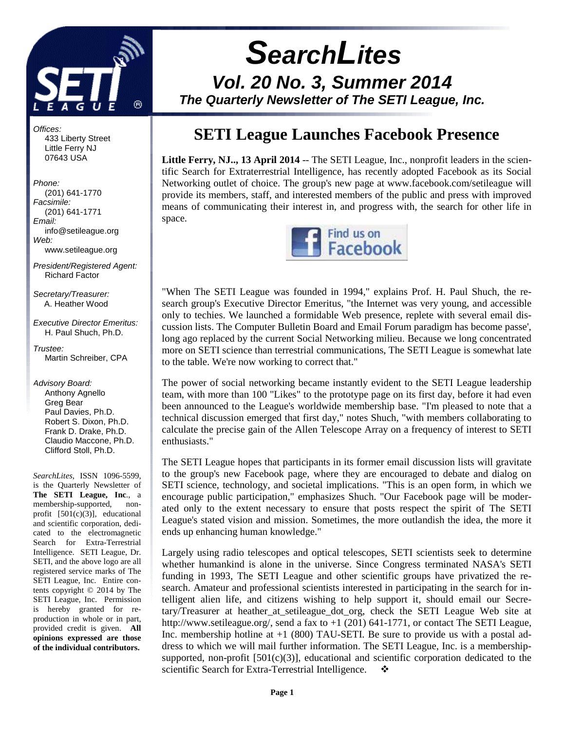

# **SearchLites Vol. 20 No. 3, Summer 2014 The Quarterly Newsletter of The SETI League, Inc.**

Offices:

 433 Liberty Street Little Ferry NJ 07643 USA

Phone: (201) 641-1770 Facsimile: (201) 641-1771 Email: info@setileague.org Web: www.setileague.org

President/Registered Agent: Richard Factor

Secretary/Treasurer: A. Heather Wood

Executive Director Emeritus: H. Paul Shuch, Ph.D.

Trustee: Martin Schreiber, CPA

Advisory Board: Anthony Agnello Greg Bear Paul Davies, Ph.D. Robert S. Dixon, Ph.D. Frank D. Drake, Ph.D. Claudio Maccone, Ph.D. Clifford Stoll, Ph.D.

*SearchLites*, ISSN 1096-5599, is the Quarterly Newsletter of **The SETI League, Inc**., a membership-supported, nonprofit [501(c)(3)], educational and scientific corporation, dedicated to the electromagnetic Search for Extra-Terrestrial Intelligence. SETI League, Dr. SETI, and the above logo are all registered service marks of The SETI League, Inc. Entire contents copyright © 2014 by The SETI League, Inc. Permission is hereby granted for reproduction in whole or in part, provided credit is given. **All opinions expressed are those of the individual contributors.** 

# **SETI League Launches Facebook Presence**

Little Ferry, NJ..., 13 April 2014 -- The SETI League, Inc., nonprofit leaders in the scientific Search for Extraterrestrial Intelligence, has recently adopted Facebook as its Social Networking outlet of choice. The group's new page at www.facebook.com/setileague will provide its members, staff, and interested members of the public and press with improved means of communicating their interest in, and progress with, the search for other life in space.



"When The SETI League was founded in 1994," explains Prof. H. Paul Shuch, the research group's Executive Director Emeritus, "the Internet was very young, and accessible only to techies. We launched a formidable Web presence, replete with several email discussion lists. The Computer Bulletin Board and Email Forum paradigm has become passe', long ago replaced by the current Social Networking milieu. Because we long concentrated more on SETI science than terrestrial communications, The SETI League is somewhat late to the table. We're now working to correct that."

The power of social networking became instantly evident to the SETI League leadership team, with more than 100 "Likes" to the prototype page on its first day, before it had even been announced to the League's worldwide membership base. "I'm pleased to note that a technical discussion emerged that first day," notes Shuch, "with members collaborating to calculate the precise gain of the Allen Telescope Array on a frequency of interest to SETI enthusiasts."

The SETI League hopes that participants in its former email discussion lists will gravitate to the group's new Facebook page, where they are encouraged to debate and dialog on SETI science, technology, and societal implications. "This is an open form, in which we encourage public participation," emphasizes Shuch. "Our Facebook page will be moderated only to the extent necessary to ensure that posts respect the spirit of The SETI League's stated vision and mission. Sometimes, the more outlandish the idea, the more it ends up enhancing human knowledge."

Largely using radio telescopes and optical telescopes, SETI scientists seek to determine whether humankind is alone in the universe. Since Congress terminated NASA's SETI funding in 1993, The SETI League and other scientific groups have privatized the research. Amateur and professional scientists interested in participating in the search for intelligent alien life, and citizens wishing to help support it, should email our Secretary/Treasurer at heather\_at\_setileague\_dot\_org, check the SETI League Web site at http://www.setileague.org/, send a fax to +1 (201) 641-1771, or contact The SETI League, Inc. membership hotline at  $+1$  (800) TAU-SETI. Be sure to provide us with a postal address to which we will mail further information. The SETI League, Inc. is a membershipsupported, non-profit  $[501(c)(3)]$ , educational and scientific corporation dedicated to the scientific Search for Extra-Terrestrial Intelligence.  $\bullet$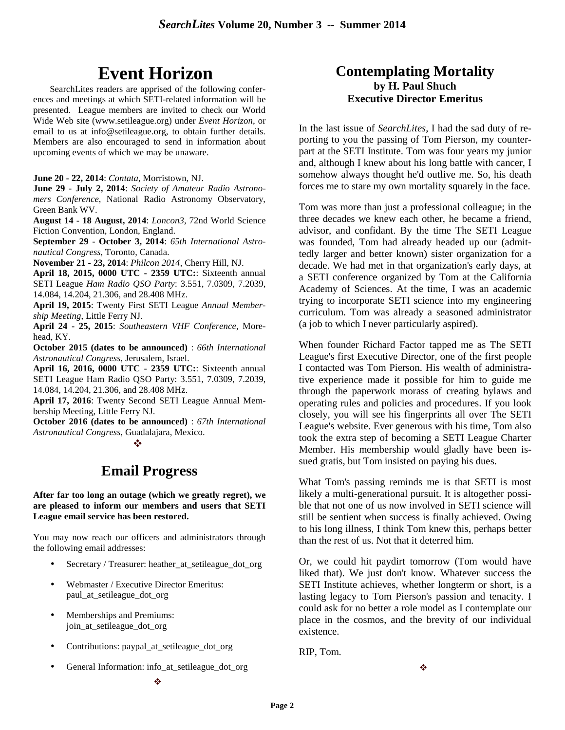# **Event Horizon**

SearchLites readers are apprised of the following conferences and meetings at which SETI-related information will be presented. League members are invited to check our World Wide Web site (www.setileague.org) under *Event Horizon*, or email to us at info@setileague.org, to obtain further details. Members are also encouraged to send in information about upcoming events of which we may be unaware.

**June 20 - 22, 2014**: *Contata*, Morristown, NJ.

**June 29 - July 2, 2014**: *Society of Amateur Radio Astronomers Conference*, National Radio Astronomy Observatory, Green Bank WV.

**August 14 - 18 August, 2014**: *Loncon3*, 72nd World Science Fiction Convention, London, England.

**September 29 - October 3, 2014**: *65th International Astronautical Congress*, Toronto, Canada.

**November 21 - 23, 2014**: *Philcon 2014*, Cherry Hill, NJ.

**April 18, 2015, 0000 UTC - 2359 UTC:**: Sixteenth annual SETI League *Ham Radio QSO Party*: 3.551, 7.0309, 7.2039, 14.084, 14.204, 21.306, and 28.408 MHz.

**April 19, 2015**: Twenty First SETI League *Annual Membership Meeting*, Little Ferry NJ.

**April 24 - 25, 2015**: *Southeastern VHF Conference*, Morehead, KY.

**October 2015 (dates to be announced)** : *66th International Astronautical Congress*, Jerusalem, Israel.

**April 16, 2016, 0000 UTC - 2359 UTC:**: Sixteenth annual SETI League Ham Radio QSO Party: 3.551, 7.0309, 7.2039, 14.084, 14.204, 21.306, and 28.408 MHz.

**April 17, 2016**: Twenty Second SETI League Annual Membership Meeting, Little Ferry NJ.

**October 2016 (dates to be announced)** : *67th International Astronautical Congress*, Guadalajara, Mexico. - 1990 - 1990 - 1990 - 1990 - 1990 - 1990 - 1990 - 1990 - 1990 - 1990 - 1990 - 1990 - 1990 - 1990 - 1990 - 199<br>1990 - 1990 - 1990 - 1990 - 1990 - 1990 - 1990 - 1990 - 1990 - 1990 - 1990 - 1990 - 1990 - 1990 - 1990 - 1990

# **Email Progress**

#### **After far too long an outage (which we greatly regret), we are pleased to inform our members and users that SETI League email service has been restored.**

You may now reach our officers and administrators through the following email addresses:

- Secretary / Treasurer: heather at setileague dot org
- Webmaster / Executive Director Emeritus: paul\_at\_setileague\_dot\_org
- Memberships and Premiums: join\_at\_setileague\_dot\_org
- Contributions: paypal\_at\_setileague\_dot\_org
- General Information: info\_at\_setileague\_dot\_org

# **Contemplating Mortality by H. Paul Shuch Executive Director Emeritus**

In the last issue of *SearchLites*, I had the sad duty of reporting to you the passing of Tom Pierson, my counterpart at the SETI Institute. Tom was four years my junior and, although I knew about his long battle with cancer, I somehow always thought he'd outlive me. So, his death forces me to stare my own mortality squarely in the face.

Tom was more than just a professional colleague; in the three decades we knew each other, he became a friend, advisor, and confidant. By the time The SETI League was founded, Tom had already headed up our (admittedly larger and better known) sister organization for a decade. We had met in that organization's early days, at a SETI conference organized by Tom at the California Academy of Sciences. At the time, I was an academic trying to incorporate SETI science into my engineering curriculum. Tom was already a seasoned administrator (a job to which I never particularly aspired).

When founder Richard Factor tapped me as The SETI League's first Executive Director, one of the first people I contacted was Tom Pierson. His wealth of administrative experience made it possible for him to guide me through the paperwork morass of creating bylaws and operating rules and policies and procedures. If you look closely, you will see his fingerprints all over The SETI League's website. Ever generous with his time, Tom also took the extra step of becoming a SETI League Charter Member. His membership would gladly have been issued gratis, but Tom insisted on paying his dues.

What Tom's passing reminds me is that SETI is most likely a multi-generational pursuit. It is altogether possible that not one of us now involved in SETI science will still be sentient when success is finally achieved. Owing to his long illness, I think Tom knew this, perhaps better than the rest of us. Not that it deterred him.

Or, we could hit paydirt tomorrow (Tom would have liked that). We just don't know. Whatever success the SETI Institute achieves, whether longterm or short, is a lasting legacy to Tom Pierson's passion and tenacity. I could ask for no better a role model as I contemplate our place in the cosmos, and the brevity of our individual existence.

RIP, Tom.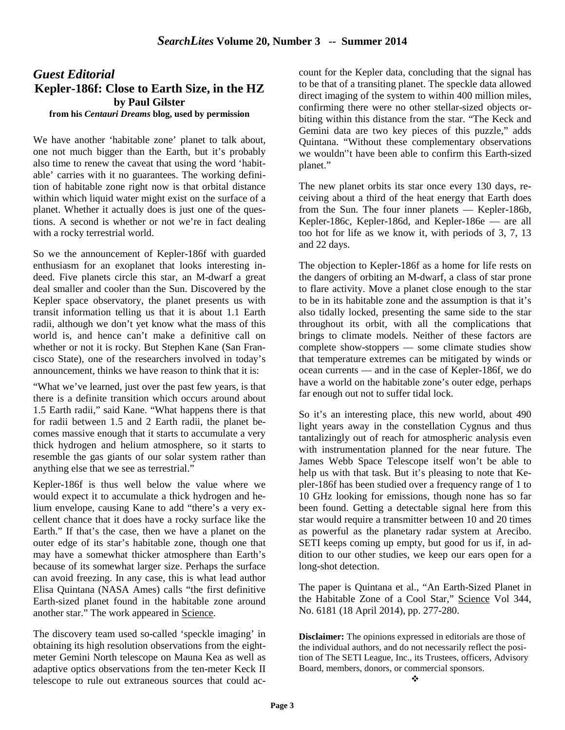# *Guest Editorial*  **Kepler-186f: Close to Earth Size, in the HZ by Paul Gilster from his** *Centauri Dreams* **blog, used by permission**

We have another 'habitable zone' planet to talk about, one not much bigger than the Earth, but it's probably also time to renew the caveat that using the word 'habitable' carries with it no guarantees. The working definition of habitable zone right now is that orbital distance within which liquid water might exist on the surface of a planet. Whether it actually does is just one of the questions. A second is whether or not we're in fact dealing with a rocky terrestrial world.

So we the announcement of Kepler-186f with guarded enthusiasm for an exoplanet that looks interesting indeed. Five planets circle this star, an M-dwarf a great deal smaller and cooler than the Sun. Discovered by the Kepler space observatory, the planet presents us with transit information telling us that it is about 1.1 Earth radii, although we don't yet know what the mass of this world is, and hence can't make a definitive call on whether or not it is rocky. But Stephen Kane (San Francisco State), one of the researchers involved in today's announcement, thinks we have reason to think that it is:

"What we've learned, just over the past few years, is that there is a definite transition which occurs around about 1.5 Earth radii," said Kane. "What happens there is that for radii between 1.5 and 2 Earth radii, the planet becomes massive enough that it starts to accumulate a very thick hydrogen and helium atmosphere, so it starts to resemble the gas giants of our solar system rather than anything else that we see as terrestrial."

Kepler-186f is thus well below the value where we would expect it to accumulate a thick hydrogen and helium envelope, causing Kane to add "there's a very excellent chance that it does have a rocky surface like the Earth." If that's the case, then we have a planet on the outer edge of its star's habitable zone, though one that may have a somewhat thicker atmosphere than Earth's because of its somewhat larger size. Perhaps the surface can avoid freezing. In any case, this is what lead author Elisa Quintana (NASA Ames) calls "the first definitive Earth-sized planet found in the habitable zone around another star." The work appeared in Science.

The discovery team used so-called 'speckle imaging' in obtaining its high resolution observations from the eightmeter Gemini North telescope on Mauna Kea as well as adaptive optics observations from the ten-meter Keck II telescope to rule out extraneous sources that could account for the Kepler data, concluding that the signal has to be that of a transiting planet. The speckle data allowed direct imaging of the system to within 400 million miles, confirming there were no other stellar-sized objects orbiting within this distance from the star. "The Keck and Gemini data are two key pieces of this puzzle," adds Quintana. "Without these complementary observations we wouldn''t have been able to confirm this Earth-sized planet."

The new planet orbits its star once every 130 days, receiving about a third of the heat energy that Earth does from the Sun. The four inner planets — Kepler-186b, Kepler-186c, Kepler-186d, and Kepler-186e — are all too hot for life as we know it, with periods of 3, 7, 13 and 22 days.

The objection to Kepler-186f as a home for life rests on the dangers of orbiting an M-dwarf, a class of star prone to flare activity. Move a planet close enough to the star to be in its habitable zone and the assumption is that it's also tidally locked, presenting the same side to the star throughout its orbit, with all the complications that brings to climate models. Neither of these factors are complete show-stoppers — some climate studies show that temperature extremes can be mitigated by winds or ocean currents — and in the case of Kepler-186f, we do have a world on the habitable zone's outer edge, perhaps far enough out not to suffer tidal lock.

So it's an interesting place, this new world, about 490 light years away in the constellation Cygnus and thus tantalizingly out of reach for atmospheric analysis even with instrumentation planned for the near future. The James Webb Space Telescope itself won't be able to help us with that task. But it's pleasing to note that Kepler-186f has been studied over a frequency range of 1 to 10 GHz looking for emissions, though none has so far been found. Getting a detectable signal here from this star would require a transmitter between 10 and 20 times as powerful as the planetary radar system at Arecibo. SETI keeps coming up empty, but good for us if, in addition to our other studies, we keep our ears open for a long-shot detection.

The paper is Quintana et al., "An Earth-Sized Planet in the Habitable Zone of a Cool Star," Science Vol 344, No. 6181 (18 April 2014), pp. 277-280.

**Disclaimer:** The opinions expressed in editorials are those of the individual authors, and do not necessarily reflect the position of The SETI League, Inc., its Trustees, officers, Advisory Board, members, donors, or commercial sponsors.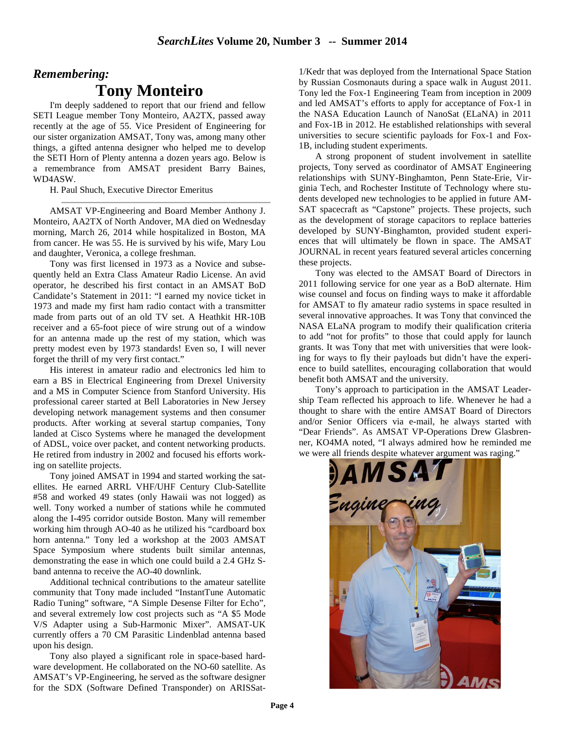# *Remembering:* **Tony Monteiro**

I'm deeply saddened to report that our friend and fellow SETI League member Tony Monteiro, AA2TX, passed away recently at the age of 55. Vice President of Engineering for our sister organization AMSAT, Tony was, among many other things, a gifted antenna designer who helped me to develop the SETI Horn of Plenty antenna a dozen years ago. Below is a remembrance from AMSAT president Barry Baines, WD4ASW.

H. Paul Shuch, Executive Director Emeritus

AMSAT VP-Engineering and Board Member Anthony J. Monteiro, AA2TX of North Andover, MA died on Wednesday morning, March 26, 2014 while hospitalized in Boston, MA from cancer. He was 55. He is survived by his wife, Mary Lou and daughter, Veronica, a college freshman.

Tony was first licensed in 1973 as a Novice and subsequently held an Extra Class Amateur Radio License. An avid operator, he described his first contact in an AMSAT BoD Candidate's Statement in 2011: "I earned my novice ticket in 1973 and made my first ham radio contact with a transmitter made from parts out of an old TV set. A Heathkit HR-10B receiver and a 65-foot piece of wire strung out of a window for an antenna made up the rest of my station, which was pretty modest even by 1973 standards! Even so, I will never forget the thrill of my very first contact."

His interest in amateur radio and electronics led him to earn a BS in Electrical Engineering from Drexel University and a MS in Computer Science from Stanford University. His professional career started at Bell Laboratories in New Jersey developing network management systems and then consumer products. After working at several startup companies, Tony landed at Cisco Systems where he managed the development of ADSL, voice over packet, and content networking products. He retired from industry in 2002 and focused his efforts working on satellite projects.

Tony joined AMSAT in 1994 and started working the satellites. He earned ARRL VHF/UHF Century Club-Satellite #58 and worked 49 states (only Hawaii was not logged) as well. Tony worked a number of stations while he commuted along the I-495 corridor outside Boston. Many will remember working him through AO-40 as he utilized his "cardboard box horn antenna." Tony led a workshop at the 2003 AMSAT Space Symposium where students built similar antennas, demonstrating the ease in which one could build a 2.4 GHz Sband antenna to receive the AO-40 downlink.

Additional technical contributions to the amateur satellite community that Tony made included "InstantTune Automatic Radio Tuning" software, "A Simple Desense Filter for Echo", and several extremely low cost projects such as "A \$5 Mode V/S Adapter using a Sub-Harmonic Mixer". AMSAT-UK currently offers a 70 CM Parasitic Lindenblad antenna based upon his design.

Tony also played a significant role in space-based hardware development. He collaborated on the NO-60 satellite. As AMSAT's VP-Engineering, he served as the software designer for the SDX (Software Defined Transponder) on ARISSat-

1/Kedr that was deployed from the International Space Station by Russian Cosmonauts during a space walk in August 2011. Tony led the Fox-1 Engineering Team from inception in 2009 and led AMSAT's efforts to apply for acceptance of Fox-1 in the NASA Education Launch of NanoSat (ELaNA) in 2011 and Fox-1B in 2012. He established relationships with several universities to secure scientific payloads for Fox-1 and Fox-1B, including student experiments.

A strong proponent of student involvement in satellite projects, Tony served as coordinator of AMSAT Engineering relationships with SUNY-Binghamton, Penn State-Erie, Virginia Tech, and Rochester Institute of Technology where students developed new technologies to be applied in future AM-SAT spacecraft as "Capstone" projects. These projects, such as the development of storage capacitors to replace batteries developed by SUNY-Binghamton, provided student experiences that will ultimately be flown in space. The AMSAT JOURNAL in recent years featured several articles concerning these projects.

Tony was elected to the AMSAT Board of Directors in 2011 following service for one year as a BoD alternate. Him wise counsel and focus on finding ways to make it affordable for AMSAT to fly amateur radio systems in space resulted in several innovative approaches. It was Tony that convinced the NASA ELaNA program to modify their qualification criteria to add "not for profits" to those that could apply for launch grants. It was Tony that met with universities that were looking for ways to fly their payloads but didn't have the experience to build satellites, encouraging collaboration that would benefit both AMSAT and the university.

Tony's approach to participation in the AMSAT Leadership Team reflected his approach to life. Whenever he had a thought to share with the entire AMSAT Board of Directors and/or Senior Officers via e-mail, he always started with "Dear Friends". As AMSAT VP-Operations Drew Glasbrenner, KO4MA noted, "I always admired how he reminded me we were all friends despite whatever argument was raging."

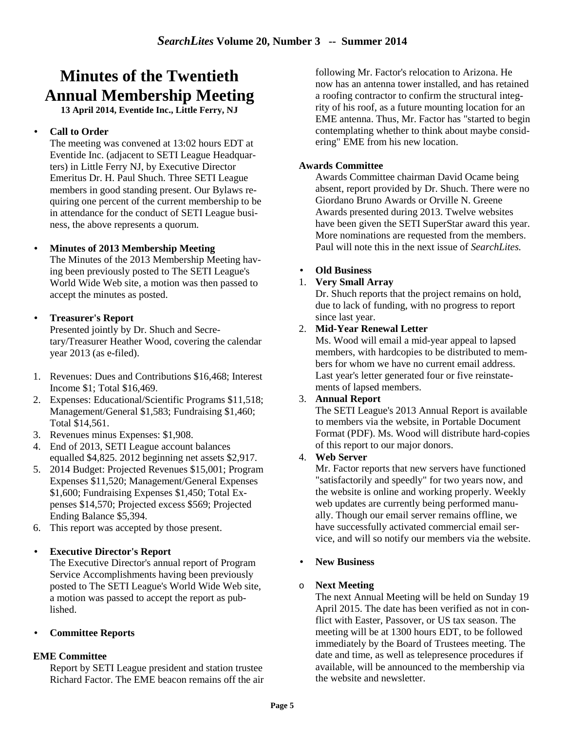# **Minutes of the Twentieth Annual Membership Meeting**

**13 April 2014, Eventide Inc., Little Ferry, NJ** 

# • **Call to Order**

The meeting was convened at 13:02 hours EDT at Eventide Inc. (adjacent to SETI League Headquarters) in Little Ferry NJ, by Executive Director Emeritus Dr. H. Paul Shuch. Three SETI League members in good standing present. Our Bylaws requiring one percent of the current membership to be in attendance for the conduct of SETI League business, the above represents a quorum.

# • **Minutes of 2013 Membership Meeting**

The Minutes of the 2013 Membership Meeting having been previously posted to The SETI League's World Wide Web site, a motion was then passed to accept the minutes as posted.

# • **Treasurer's Report**

Presented jointly by Dr. Shuch and Secretary/Treasurer Heather Wood, covering the calendar year 2013 (as e-filed).

- 1. Revenues: Dues and Contributions \$16,468; Interest Income \$1; Total \$16,469.
- 2. Expenses: Educational/Scientific Programs \$11,518; Management/General \$1,583; Fundraising \$1,460; Total \$14,561.
- 3. Revenues minus Expenses: \$1,908.
- 4. End of 2013, SETI League account balances equalled \$4,825. 2012 beginning net assets \$2,917.
- 5. 2014 Budget: Projected Revenues \$15,001; Program Expenses \$11,520; Management/General Expenses \$1,600; Fundraising Expenses \$1,450; Total Expenses \$14,570; Projected excess \$569; Projected Ending Balance \$5,394.
- 6. This report was accepted by those present.

# • **Executive Director's Report**

The Executive Director's annual report of Program Service Accomplishments having been previously posted to The SETI League's World Wide Web site, a motion was passed to accept the report as published.

• **Committee Reports**

# **EME Committee**

Report by SETI League president and station trustee Richard Factor. The EME beacon remains off the air following Mr. Factor's relocation to Arizona. He now has an antenna tower installed, and has retained a roofing contractor to confirm the structural integrity of his roof, as a future mounting location for an EME antenna. Thus, Mr. Factor has "started to begin contemplating whether to think about maybe considering" EME from his new location.

### **Awards Committee**

Awards Committee chairman David Ocame being absent, report provided by Dr. Shuch. There were no Giordano Bruno Awards or Orville N. Greene Awards presented during 2013. Twelve websites have been given the SETI SuperStar award this year. More nominations are requested from the members. Paul will note this in the next issue of *SearchLites.*

### • **Old Business**

### 1. **Very Small Array**

Dr. Shuch reports that the project remains on hold, due to lack of funding, with no progress to report since last year.

# 2. **Mid-Year Renewal Letter**

Ms. Wood will email a mid-year appeal to lapsed members, with hardcopies to be distributed to members for whom we have no current email address. Last year's letter generated four or five reinstatements of lapsed members.

#### 3. **Annual Report**

The SETI League's 2013 Annual Report is available to members via the website, in Portable Document Format (PDF). Ms. Wood will distribute hard-copies of this report to our major donors.

# 4. **Web Server**

Mr. Factor reports that new servers have functioned "satisfactorily and speedly" for two years now, and the website is online and working properly. Weekly web updates are currently being performed manually. Though our email server remains offline, we have successfully activated commercial email service, and will so notify our members via the website.

# • **New Business**

#### o **Next Meeting**

The next Annual Meeting will be held on Sunday 19 April 2015. The date has been verified as not in conflict with Easter, Passover, or US tax season. The meeting will be at 1300 hours EDT, to be followed immediately by the Board of Trustees meeting. The date and time, as well as telepresence procedures if available, will be announced to the membership via the website and newsletter.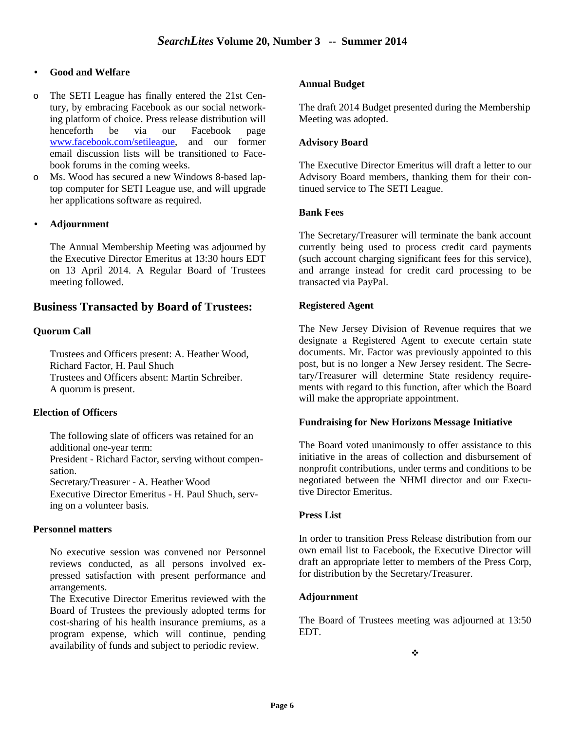#### • **Good and Welfare**

- o The SETI League has finally entered the 21st Century, by embracing Facebook as our social networking platform of choice. Press release distribution will henceforth be via our Facebook page www.facebook.com/setileague, and our former email discussion lists will be transitioned to Facebook forums in the coming weeks.
- o Ms. Wood has secured a new Windows 8-based laptop computer for SETI League use, and will upgrade her applications software as required.

#### • **Adjournment**

The Annual Membership Meeting was adjourned by the Executive Director Emeritus at 13:30 hours EDT on 13 April 2014. A Regular Board of Trustees meeting followed.

### **Business Transacted by Board of Trustees:**

#### **Quorum Call**

Trustees and Officers present: A. Heather Wood, Richard Factor, H. Paul Shuch Trustees and Officers absent: Martin Schreiber. A quorum is present.

#### **Election of Officers**

The following slate of officers was retained for an additional one-year term:

President - Richard Factor, serving without compensation.

Secretary/Treasurer - A. Heather Wood

Executive Director Emeritus - H. Paul Shuch, serving on a volunteer basis.

#### **Personnel matters**

No executive session was convened nor Personnel reviews conducted, as all persons involved expressed satisfaction with present performance and arrangements.

The Executive Director Emeritus reviewed with the Board of Trustees the previously adopted terms for cost-sharing of his health insurance premiums, as a program expense, which will continue, pending availability of funds and subject to periodic review.

#### **Annual Budget**

The draft 2014 Budget presented during the Membership Meeting was adopted.

#### **Advisory Board**

The Executive Director Emeritus will draft a letter to our Advisory Board members, thanking them for their continued service to The SETI League.

#### **Bank Fees**

The Secretary/Treasurer will terminate the bank account currently being used to process credit card payments (such account charging significant fees for this service), and arrange instead for credit card processing to be transacted via PayPal.

#### **Registered Agent**

The New Jersey Division of Revenue requires that we designate a Registered Agent to execute certain state documents. Mr. Factor was previously appointed to this post, but is no longer a New Jersey resident. The Secretary/Treasurer will determine State residency requirements with regard to this function, after which the Board will make the appropriate appointment.

#### **Fundraising for New Horizons Message Initiative**

The Board voted unanimously to offer assistance to this initiative in the areas of collection and disbursement of nonprofit contributions, under terms and conditions to be negotiated between the NHMI director and our Executive Director Emeritus.

#### **Press List**

In order to transition Press Release distribution from our own email list to Facebook, the Executive Director will draft an appropriate letter to members of the Press Corp, for distribution by the Secretary/Treasurer.

#### **Adjournment**

The Board of Trustees meeting was adjourned at 13:50 EDT.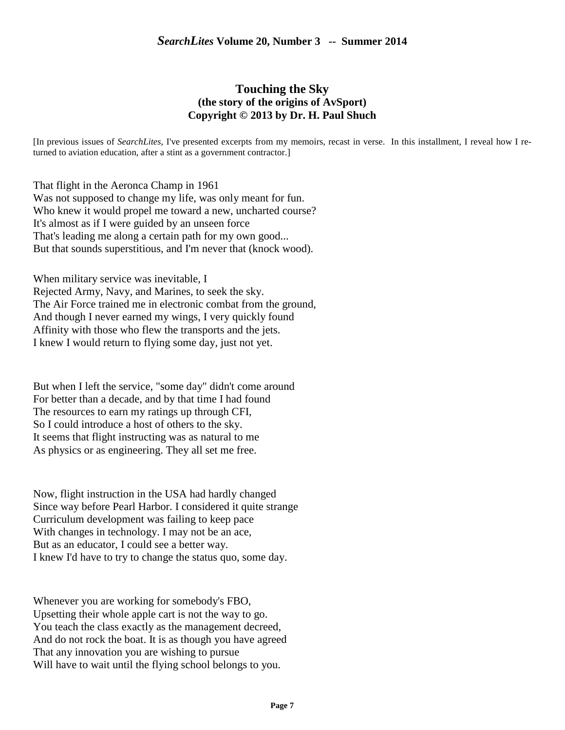# **Touching the Sky (the story of the origins of AvSport) Copyright © 2013 by Dr. H. Paul Shuch**

[In previous issues of *SearchLites*, I've presented excerpts from my memoirs, recast in verse. In this installment, I reveal how I returned to aviation education, after a stint as a government contractor.]

That flight in the Aeronca Champ in 1961 Was not supposed to change my life, was only meant for fun. Who knew it would propel me toward a new, uncharted course? It's almost as if I were guided by an unseen force That's leading me along a certain path for my own good... But that sounds superstitious, and I'm never that (knock wood).

When military service was inevitable, I Rejected Army, Navy, and Marines, to seek the sky. The Air Force trained me in electronic combat from the ground, And though I never earned my wings, I very quickly found Affinity with those who flew the transports and the jets. I knew I would return to flying some day, just not yet.

But when I left the service, "some day" didn't come around For better than a decade, and by that time I had found The resources to earn my ratings up through CFI, So I could introduce a host of others to the sky. It seems that flight instructing was as natural to me As physics or as engineering. They all set me free.

Now, flight instruction in the USA had hardly changed Since way before Pearl Harbor. I considered it quite strange Curriculum development was failing to keep pace With changes in technology. I may not be an ace, But as an educator, I could see a better way. I knew I'd have to try to change the status quo, some day.

Whenever you are working for somebody's FBO, Upsetting their whole apple cart is not the way to go. You teach the class exactly as the management decreed, And do not rock the boat. It is as though you have agreed That any innovation you are wishing to pursue Will have to wait until the flying school belongs to you.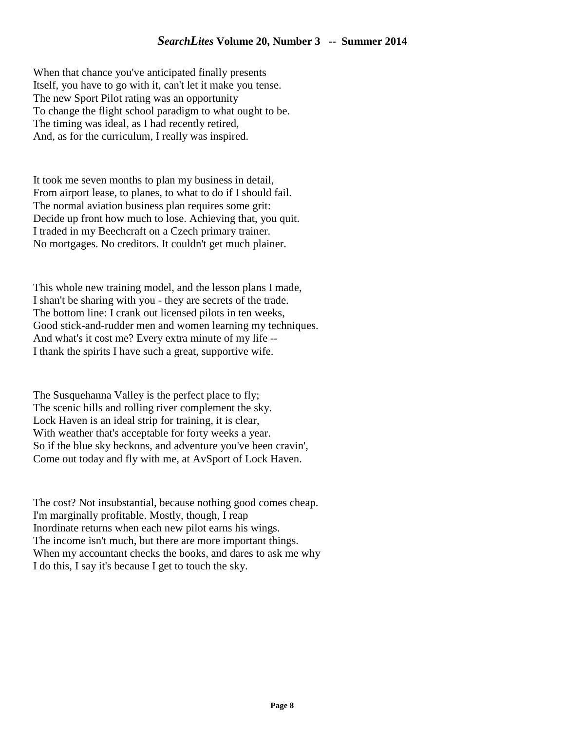When that chance you've anticipated finally presents Itself, you have to go with it, can't let it make you tense. The new Sport Pilot rating was an opportunity To change the flight school paradigm to what ought to be. The timing was ideal, as I had recently retired, And, as for the curriculum, I really was inspired.

It took me seven months to plan my business in detail, From airport lease, to planes, to what to do if I should fail. The normal aviation business plan requires some grit: Decide up front how much to lose. Achieving that, you quit. I traded in my Beechcraft on a Czech primary trainer. No mortgages. No creditors. It couldn't get much plainer.

This whole new training model, and the lesson plans I made, I shan't be sharing with you - they are secrets of the trade. The bottom line: I crank out licensed pilots in ten weeks, Good stick-and-rudder men and women learning my techniques. And what's it cost me? Every extra minute of my life -- I thank the spirits I have such a great, supportive wife.

The Susquehanna Valley is the perfect place to fly; The scenic hills and rolling river complement the sky. Lock Haven is an ideal strip for training, it is clear, With weather that's acceptable for forty weeks a year. So if the blue sky beckons, and adventure you've been cravin', Come out today and fly with me, at AvSport of Lock Haven.

The cost? Not insubstantial, because nothing good comes cheap. I'm marginally profitable. Mostly, though, I reap Inordinate returns when each new pilot earns his wings. The income isn't much, but there are more important things. When my accountant checks the books, and dares to ask me why I do this, I say it's because I get to touch the sky.